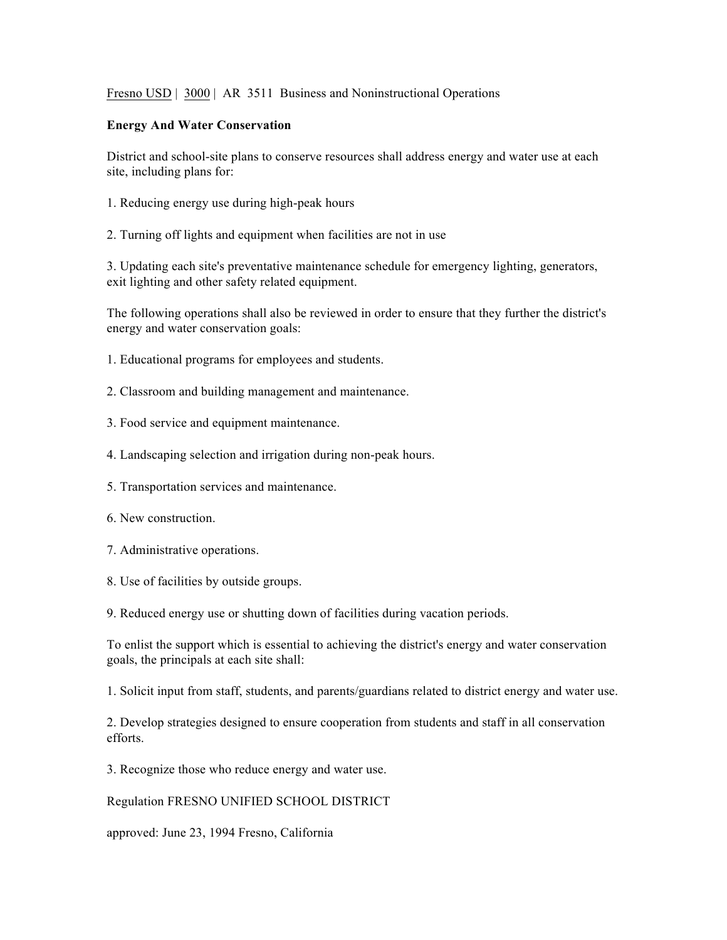Fresno USD | 3000 | AR 3511 Business and Noninstructional Operations

## **Energy And Water Conservation**

District and school-site plans to conserve resources shall address energy and water use at each site, including plans for:

- 1. Reducing energy use during high-peak hours
- 2. Turning off lights and equipment when facilities are not in use

3. Updating each site's preventative maintenance schedule for emergency lighting, generators, exit lighting and other safety related equipment.

The following operations shall also be reviewed in order to ensure that they further the district's energy and water conservation goals:

- 1. Educational programs for employees and students.
- 2. Classroom and building management and maintenance.
- 3. Food service and equipment maintenance.
- 4. Landscaping selection and irrigation during non-peak hours.
- 5. Transportation services and maintenance.
- 6. New construction.
- 7. Administrative operations.
- 8. Use of facilities by outside groups.

9. Reduced energy use or shutting down of facilities during vacation periods.

To enlist the support which is essential to achieving the district's energy and water conservation goals, the principals at each site shall:

1. Solicit input from staff, students, and parents/guardians related to district energy and water use.

2. Develop strategies designed to ensure cooperation from students and staff in all conservation efforts.

3. Recognize those who reduce energy and water use.

Regulation FRESNO UNIFIED SCHOOL DISTRICT

approved: June 23, 1994 Fresno, California